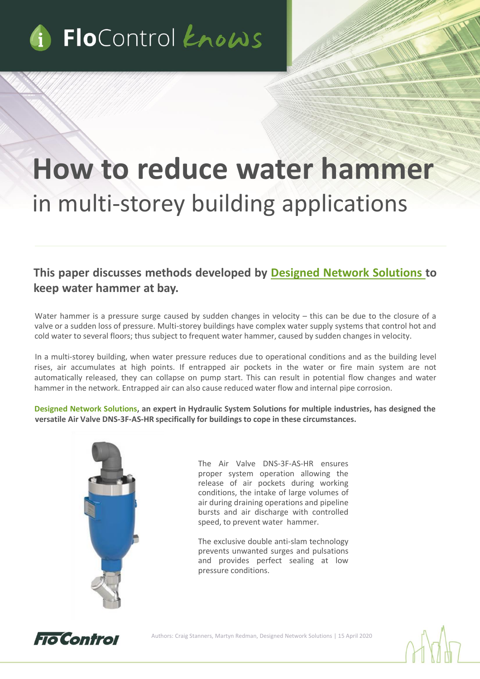

# **How to reduce water hammer**  in multi-storey building applications

## **This paper discusses methods developed by Designed Network [Solutions](https://dns-uk-ltd.co.uk/) to keep water hammer at bay.**

Water hammer is a pressure surge caused by sudden changes in velocity – this can be due to the closure of a valve or a sudden loss of pressure. Multi-storey buildings have complex water supply systems that control hot and cold water to several floors; thus subject to frequent water hammer, caused by sudden changes in velocity.

In a multi-storey building, when water pressure reduces due to operational conditions and as the building level rises, air accumulates at high points. If entrapped air pockets in the water or fire main system are not automatically released, they can collapse on pump start. This can result in potential flow changes and water hammer in the network. Entrapped air can also cause reduced water flow and internal pipe corrosion.

**Designed Network Solutions, an expert in Hydraulic System Solutions for multiple industries, has designed the versatile Air Valve DNS-3F-AS-HR specifically for buildings to cope in these circumstances.**



The Air Valve DNS-3F-AS-HR ensures proper system operation allowing the release of air pockets during working conditions, the intake of large volumes of air during draining operations and pipeline bursts and air discharge with controlled speed, to prevent water hammer.

The exclusive double anti-slam technology prevents unwanted surges and pulsations and provides perfect sealing at low pressure conditions.



Authors: Craig Stanners, Martyn Redman, Designed Network Solutions | 15 April 2020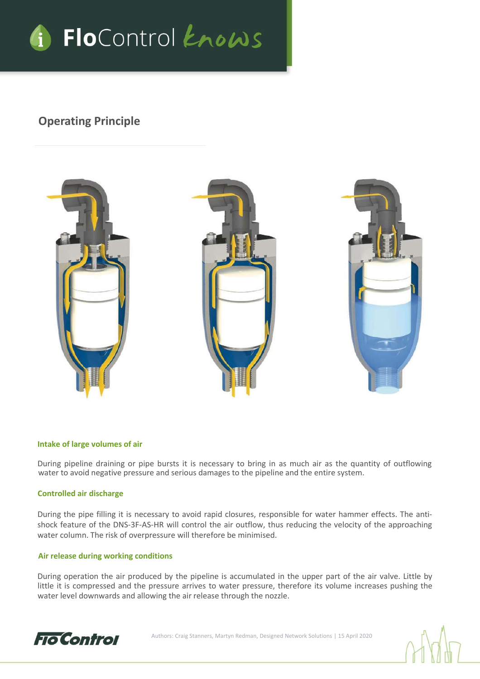

## **Operating Principle**



#### **Intake of large volumes of air**

During pipeline draining or pipe bursts it is necessary to bring in as much air as the quantity of outflowing water to avoid negative pressure and serious damages to the pipeline and the entire system.

#### **Controlled air discharge**

During the pipe filling it is necessary to avoid rapid closures, responsible for water hammer effects. The antishock feature of the DNS-3F-AS-HR will control the air outflow, thus reducing the velocity of the approaching water column. The risk of overpressure will therefore be minimised.

#### **Air release during working conditions**

During operation the air produced by the pipeline is accumulated in the upper part of the air valve. Little by little it is compressed and the pressure arrives to water pressure, therefore its volume increases pushing the water level downwards and allowing the air release through the nozzle.



Authors: Craig Stanners, Martyn Redman, Designed Network Solutions | 15 April 2020